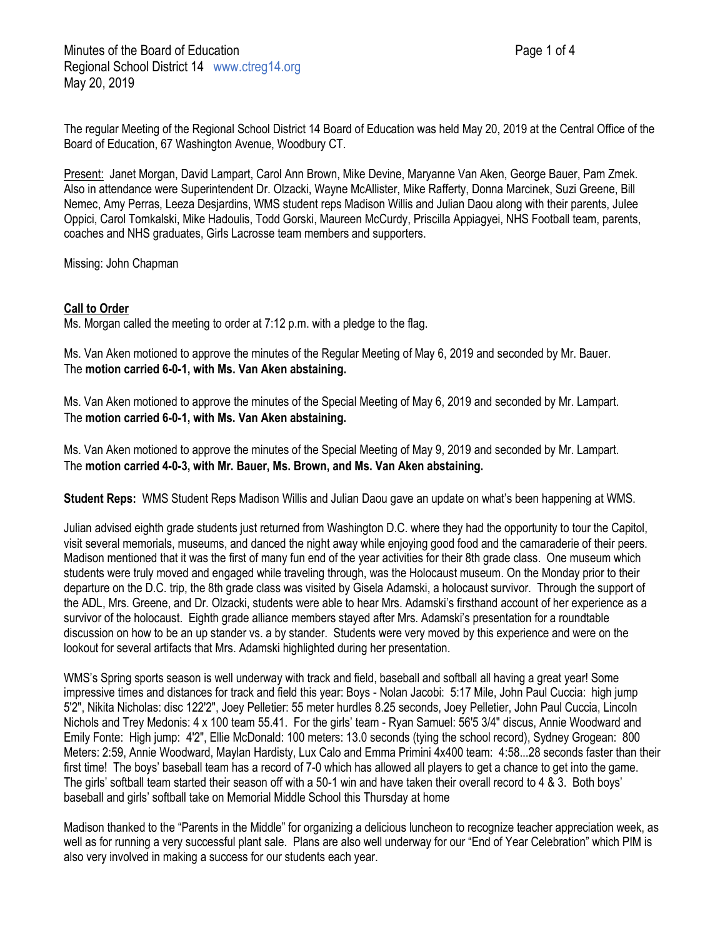The regular Meeting of the Regional School District 14 Board of Education was held May 20, 2019 at the Central Office of the Board of Education, 67 Washington Avenue, Woodbury CT.

Present: Janet Morgan, David Lampart, Carol Ann Brown, Mike Devine, Maryanne Van Aken, George Bauer, Pam Zmek. Also in attendance were Superintendent Dr. Olzacki, Wayne McAllister, Mike Rafferty, Donna Marcinek, Suzi Greene, Bill Nemec, Amy Perras, Leeza Desjardins, WMS student reps Madison Willis and Julian Daou along with their parents, Julee Oppici, Carol Tomkalski, Mike Hadoulis, Todd Gorski, Maureen McCurdy, Priscilla Appiagyei, NHS Football team, parents, coaches and NHS graduates, Girls Lacrosse team members and supporters.

Missing: John Chapman

## **Call to Order**

Ms. Morgan called the meeting to order at 7:12 p.m. with a pledge to the flag.

Ms. Van Aken motioned to approve the minutes of the Regular Meeting of May 6, 2019 and seconded by Mr. Bauer. The **motion carried 6-0-1, with Ms. Van Aken abstaining.**

Ms. Van Aken motioned to approve the minutes of the Special Meeting of May 6, 2019 and seconded by Mr. Lampart. The **motion carried 6-0-1, with Ms. Van Aken abstaining.**

Ms. Van Aken motioned to approve the minutes of the Special Meeting of May 9, 2019 and seconded by Mr. Lampart. The **motion carried 4-0-3, with Mr. Bauer, Ms. Brown, and Ms. Van Aken abstaining.**

**Student Reps:** WMS Student Reps Madison Willis and Julian Daou gave an update on what's been happening at WMS.

Julian advised eighth grade students just returned from Washington D.C. where they had the opportunity to tour the Capitol, visit several memorials, museums, and danced the night away while enjoying good food and the camaraderie of their peers. Madison mentioned that it was the first of many fun end of the year activities for their 8th grade class. One museum which students were truly moved and engaged while traveling through, was the Holocaust museum. On the Monday prior to their departure on the D.C. trip, the 8th grade class was visited by Gisela Adamski, a holocaust survivor. Through the support of the ADL, Mrs. Greene, and Dr. Olzacki, students were able to hear Mrs. Adamski's firsthand account of her experience as a survivor of the holocaust. Eighth grade alliance members stayed after Mrs. Adamski's presentation for a roundtable discussion on how to be an up stander vs. a by stander. Students were very moved by this experience and were on the lookout for several artifacts that Mrs. Adamski highlighted during her presentation.

WMS's Spring sports season is well underway with track and field, baseball and softball all having a great year! Some impressive times and distances for track and field this year: Boys - Nolan Jacobi: 5:17 Mile, John Paul Cuccia: high jump 5'2", Nikita Nicholas: disc 122'2", Joey Pelletier: 55 meter hurdles 8.25 seconds, Joey Pelletier, John Paul Cuccia, Lincoln Nichols and Trey Medonis: 4 x 100 team 55.41. For the girls' team - Ryan Samuel: 56'5 3/4" discus, Annie Woodward and Emily Fonte: High jump: 4'2", Ellie McDonald: 100 meters: 13.0 seconds (tying the school record), Sydney Grogean: 800 Meters: 2:59, Annie Woodward, Maylan Hardisty, Lux Calo and Emma Primini 4x400 team: 4:58...28 seconds faster than their first time! The boys' baseball team has a record of 7-0 which has allowed all players to get a chance to get into the game. The girls' softball team started their season off with a 50-1 win and have taken their overall record to 4 & 3. Both boys' baseball and girls' softball take on Memorial Middle School this Thursday at home

Madison thanked to the "Parents in the Middle" for organizing a delicious luncheon to recognize teacher appreciation week, as well as for running a very successful plant sale. Plans are also well underway for our "End of Year Celebration" which PIM is also very involved in making a success for our students each year.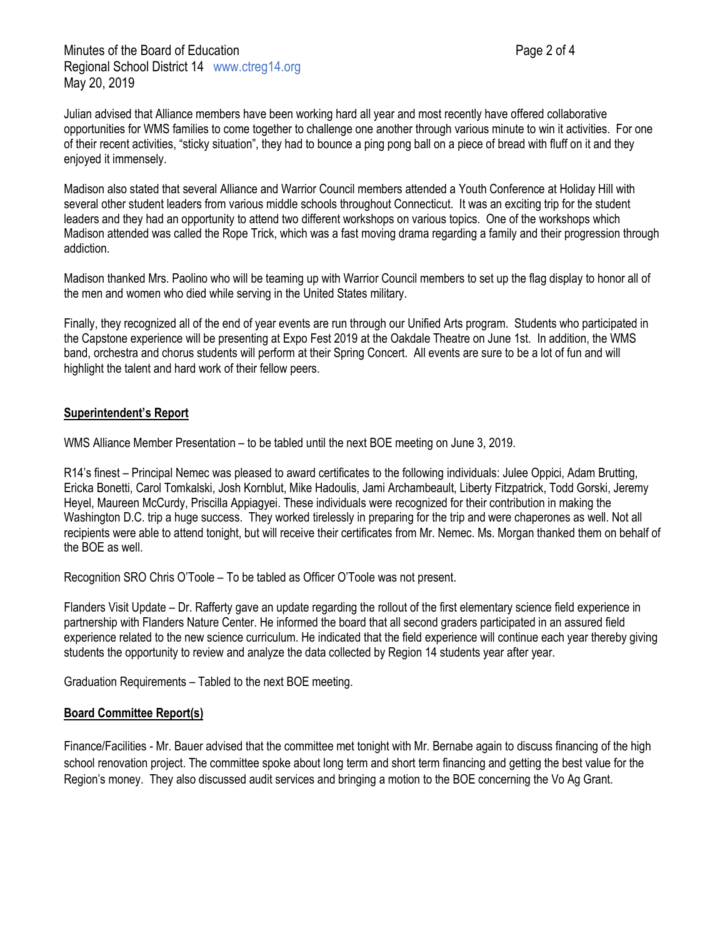Julian advised that Alliance members have been working hard all year and most recently have offered collaborative opportunities for WMS families to come together to challenge one another through various minute to win it activities. For one of their recent activities, "sticky situation", they had to bounce a ping pong ball on a piece of bread with fluff on it and they enjoyed it immensely.

Madison also stated that several Alliance and Warrior Council members attended a Youth Conference at Holiday Hill with several other student leaders from various middle schools throughout Connecticut. It was an exciting trip for the student leaders and they had an opportunity to attend two different workshops on various topics. One of the workshops which Madison attended was called the Rope Trick, which was a fast moving drama regarding a family and their progression through addiction.

Madison thanked Mrs. Paolino who will be teaming up with Warrior Council members to set up the flag display to honor all of the men and women who died while serving in the United States military.

Finally, they recognized all of the end of year events are run through our Unified Arts program. Students who participated in the Capstone experience will be presenting at Expo Fest 2019 at the Oakdale Theatre on June 1st. In addition, the WMS band, orchestra and chorus students will perform at their Spring Concert. All events are sure to be a lot of fun and will highlight the talent and hard work of their fellow peers.

# **Superintendent's Report**

WMS Alliance Member Presentation – to be tabled until the next BOE meeting on June 3, 2019.

R14's finest – Principal Nemec was pleased to award certificates to the following individuals: Julee Oppici, Adam Brutting, Ericka Bonetti, Carol Tomkalski, Josh Kornblut, Mike Hadoulis, Jami Archambeault, Liberty Fitzpatrick, Todd Gorski, Jeremy Heyel, Maureen McCurdy, Priscilla Appiagyei. These individuals were recognized for their contribution in making the Washington D.C. trip a huge success. They worked tirelessly in preparing for the trip and were chaperones as well. Not all recipients were able to attend tonight, but will receive their certificates from Mr. Nemec. Ms. Morgan thanked them on behalf of the BOE as well.

Recognition SRO Chris O'Toole – To be tabled as Officer O'Toole was not present.

Flanders Visit Update – Dr. Rafferty gave an update regarding the rollout of the first elementary science field experience in partnership with Flanders Nature Center. He informed the board that all second graders participated in an assured field experience related to the new science curriculum. He indicated that the field experience will continue each year thereby giving students the opportunity to review and analyze the data collected by Region 14 students year after year.

Graduation Requirements – Tabled to the next BOE meeting.

## **Board Committee Report(s)**

Finance/Facilities - Mr. Bauer advised that the committee met tonight with Mr. Bernabe again to discuss financing of the high school renovation project. The committee spoke about long term and short term financing and getting the best value for the Region's money. They also discussed audit services and bringing a motion to the BOE concerning the Vo Ag Grant.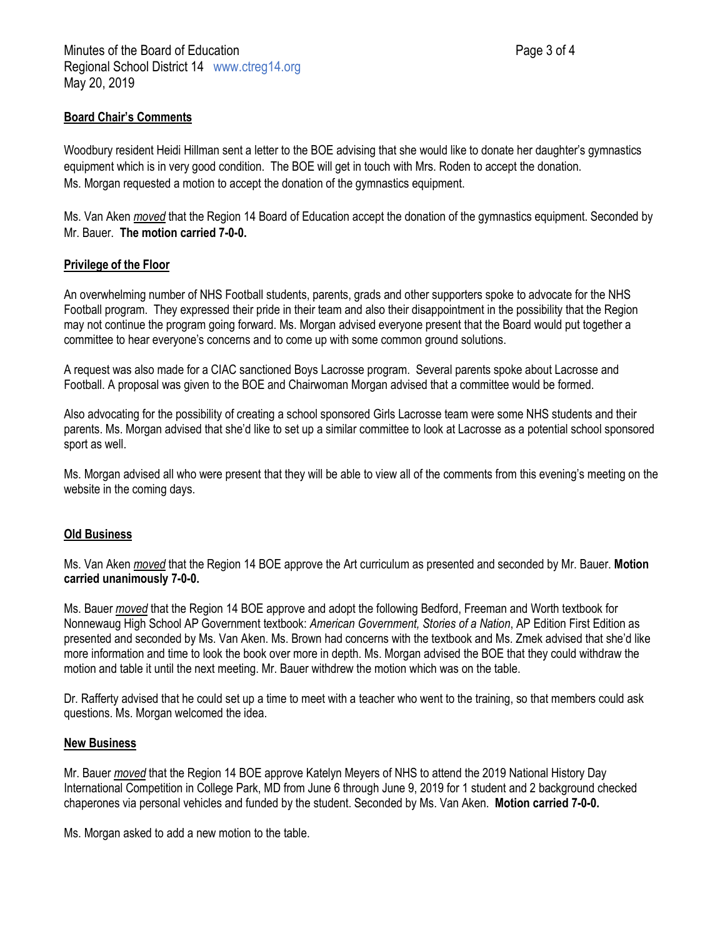## **Board Chair's Comments**

Woodbury resident Heidi Hillman sent a letter to the BOE advising that she would like to donate her daughter's gymnastics equipment which is in very good condition. The BOE will get in touch with Mrs. Roden to accept the donation. Ms. Morgan requested a motion to accept the donation of the gymnastics equipment.

Ms. Van Aken *moved* that the Region 14 Board of Education accept the donation of the gymnastics equipment. Seconded by Mr. Bauer. **The motion carried 7-0-0.**

# **Privilege of the Floor**

An overwhelming number of NHS Football students, parents, grads and other supporters spoke to advocate for the NHS Football program. They expressed their pride in their team and also their disappointment in the possibility that the Region may not continue the program going forward. Ms. Morgan advised everyone present that the Board would put together a committee to hear everyone's concerns and to come up with some common ground solutions.

A request was also made for a CIAC sanctioned Boys Lacrosse program. Several parents spoke about Lacrosse and Football. A proposal was given to the BOE and Chairwoman Morgan advised that a committee would be formed.

Also advocating for the possibility of creating a school sponsored Girls Lacrosse team were some NHS students and their parents. Ms. Morgan advised that she'd like to set up a similar committee to look at Lacrosse as a potential school sponsored sport as well.

Ms. Morgan advised all who were present that they will be able to view all of the comments from this evening's meeting on the website in the coming days.

## **Old Business**

Ms. Van Aken *moved* that the Region 14 BOE approve the Art curriculum as presented and seconded by Mr. Bauer. **Motion carried unanimously 7-0-0.**

Ms. Bauer *moved* that the Region 14 BOE approve and adopt the following Bedford, Freeman and Worth textbook for Nonnewaug High School AP Government textbook: *American Government, Stories of a Nation*, AP Edition First Edition as presented and seconded by Ms. Van Aken. Ms. Brown had concerns with the textbook and Ms. Zmek advised that she'd like more information and time to look the book over more in depth. Ms. Morgan advised the BOE that they could withdraw the motion and table it until the next meeting. Mr. Bauer withdrew the motion which was on the table.

Dr. Rafferty advised that he could set up a time to meet with a teacher who went to the training, so that members could ask questions. Ms. Morgan welcomed the idea.

## **New Business**

Mr. Bauer *moved* that the Region 14 BOE approve Katelyn Meyers of NHS to attend the 2019 National History Day International Competition in College Park, MD from June 6 through June 9, 2019 for 1 student and 2 background checked chaperones via personal vehicles and funded by the student. Seconded by Ms. Van Aken. **Motion carried 7-0-0.**

Ms. Morgan asked to add a new motion to the table.